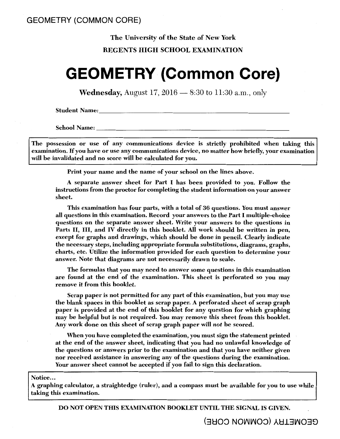#### The University of the State of New York

#### REGENTS HIGH SCHOOL EXAMINATION

# **GEOMETRY {Common Core)**

**Wednesday,** August 17,  $2016 - 8:30$  to 11:30 a.m., only

**Student Name:** 

**School Name:** 

The possession or use of any communications device is strictly prohibited when taking this examination. If you have or use any communications device, no matter how briefly, your examination will be invalidated and no score will be calculated for you.

Print your name and the name of your school on the lines above.

A separate answer sheet for Part I has been provided to you. Follow the instructions from the proctor for completing the student information on your answer sheet.

This examination has four parts, with a total of 36 questions. You must answer all questions in this examination. Record your answers to the Part I multiple-choice questions on the separate answer sheet. Write your answers to the questions in Parts II, III, and IV directly in this booklet. All work should be written in pen, except for graphs and drawings, which should be done in pencil. Clearly indicate the necessary steps, including appropriate formula substitutions, diagrams, graphs, charts, etc. Utilize the information provided for each question to determine your answer. Note that diagrams are not necessarily drawn to scale.

The formulas that you may need to answer some questions in this examination are found at the end of the examination. This sheet is perforated so you may remove it from this booklet.

Scrap paper is not permitted for any part of this examination, but you may use the blank spaces in this booklet as scrap paper. A perforated sheet of scrap graph paper is provided at the end of this booklet for any question for which graphing may be helpful but is not required. You may remove this sheet from this booklet. Any work done on this sheet of scrap graph paper will *not* be scored.

When you have completed the examination, you must sign the statement printed at the end of the answer sheet, indicating that you had no unlawful knowledge of the questions or answers prior to the examination and that you have neither given nor received assistance in answering any of the questions during the examination. Your answer sheet cannot be accepted if you fail to sign this declaration.

Notice...

A graphing calculator, a straightedge (ruler), and a compass must be available for you to use while taking this examination.

DO NOT OPEN THIS EXAMINATION BOOKLET UNTIL THE SIGNAL IS GIVEN.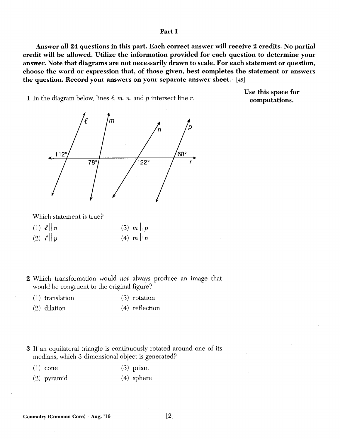#### Part I

Answer all 24 questions in this part. Each correct answer will receive 2 credits. No partial credit will be allowed. Utilize the information provided for each question to determine your answer. Note that diagrams are not necessarily drawn to scale. For each statement or question, choose the word or expression that, of those given, best completes the statement or answers the question. Record your answers on your separate answer sheet. [ 48]

1 In the diagram below, lines  $\ell$ ,  $m$ ,  $n$ , and  $p$  intersect line  $r$ .

Use this space for computations.



Which statement is true?

| $(1)$ $\ell \parallel n$ | $(3)$ m $\parallel p$ |  |
|--------------------------|-----------------------|--|
| (2) $\ell \parallel p$   | $(4)$ m $\parallel$ n |  |

- 2 Which transformation would *not* always produce an image that would be congruent to the original figure?
	- $(1)$  translation ( 3) rotation
	- (2) dilation (4) reflection
- 3 If an equilateral triangle is continuously rotated around one of its medians, which 3-dimensional object is generated?
	- (1) cone (3) prism
	- (2) pyramid (4) sphere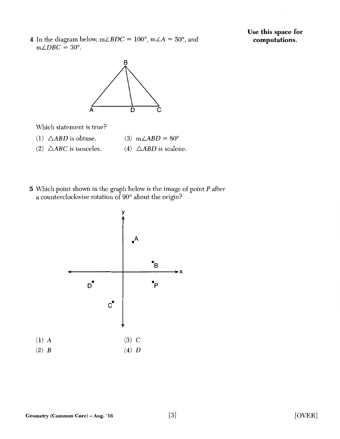4 In the diagram below,  $m\angle BDC = 100^{\circ}$ ,  $m\angle A = 50^{\circ}$ , and  $m\angle DBC = 30^\circ$ .

Use **this** space for **computations.** 



Which statement is true?

- (1)  $\triangle ABD$  is obtuse.
- (2)  $\triangle ABC$  is isosceles.

(4)  $\triangle ABD$  is scalene.

(3)  $m\angle ABD = 80^\circ$ 

 ${\bf 5}$  Which point shown in the graph below is the image of point  $P$  after a counterclockwise rotation of 90° about the origin?

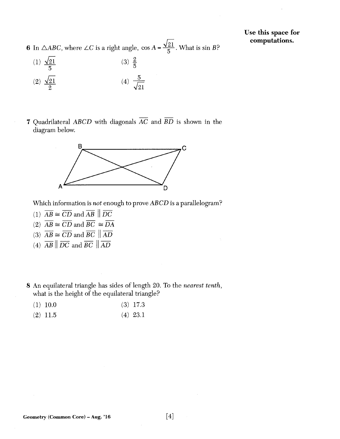## Use this space for computations.

6 In  $\triangle ABC$ , where  $\angle C$  is a right angle,  $\cos A = \frac{\sqrt{21}}{5}$ . What is sin B?

| (1) $\frac{\sqrt{21}}{5}$ | (3) $\frac{2}{5}$         |
|---------------------------|---------------------------|
| (2) $\frac{\sqrt{21}}{2}$ | (4) $\frac{5}{\sqrt{21}}$ |

7 Quadrilateral ABCD with diagonals  $\overline{AC}$  and  $\overline{BD}$  is shown in the diagram below.



Which information is *not* enough to prove ABCD is a parallelogram?

- (1)  $\overline{AB} \cong \overline{CD}$  and  $\overline{AB}$  ||  $\overline{DC}$
- (2)  $\overline{AB} \cong \overline{CD}$  and  $\overline{BC} \cong \overline{DA}$
- (3)  $\overline{AB} \cong \overline{CD}$  and  $\overline{BC}$  ||  $\overline{AD}$
- 
- (4)  $\overline{AB}$  |  $\overline{DC}$  and  $\overline{BC}$  |  $\overline{AD}$
- 8 An equilateral triangle has sides of length 20. To the *nearest tenth,*  what is the height of the equilateral triangle?

| $(1)$ 10.0 |  |  | $(3)$ 17.3 |
|------------|--|--|------------|
|            |  |  |            |

(2) 11.5 (4) 23.l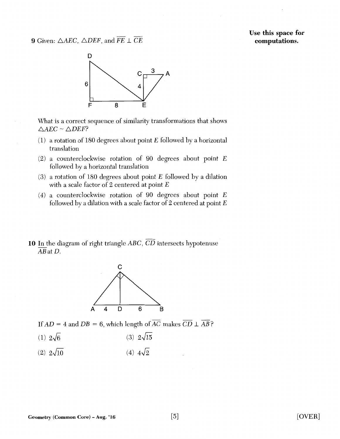Use **this** space **for computations.** 

9 Given:  $\triangle AEC$ ,  $\triangle DEF$ , and  $\overline{FE} \perp \overline{CE}$ 



What is a correct sequence of similarity transformations that shows  $\triangle AEC \sim \triangle DEF$ ?

- (1) a rotation of 180 degrees about point *E* followed by a horizontal translation
- (2) a counterclockwise rotation of 90 degrees about point E followed by a horizontal translation
- $(3)$  a rotation of 180 degrees about point E followed by a dilation with a scale factor of 2 centered at point *E*
- ( 4) a counterclockwise rotation of 90 degrees about point *E*  followed by a dilation with a scale factor of 2 centered at point *E*
- **10** In the diagram of right triangle ABC, CD intersects hypotenuse  $\overline{AB}$  at  $\overline{D}$ .



If  $AD = 4$  and  $DB = 6$ , which length of  $\overline{AC}$  makes  $\overline{CD} \perp \overline{AB}$ ?

- (1)  $2\sqrt{6}$  (3)  $2\sqrt{15}$
- (2)  $2\sqrt{10}$  (4)  $4\sqrt{2}$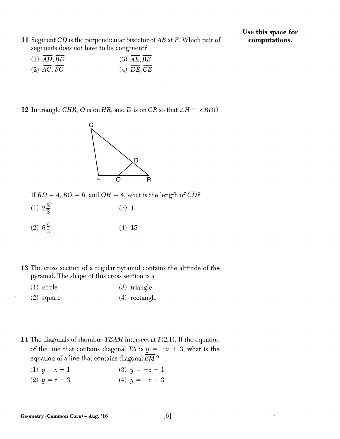**11** Segment *CD* is the perpendicular bisector of *AB* at *E.* Which pair of segments does *not* have to be congruent?

Use **this** space **for computations.** 

(1)  $\overline{AD}, \overline{BD}$  (3)  $\overline{AE}, \overline{BE}$ (2)  $\overline{AC}, \overline{BC}$  (4)  $\overline{DE}, \overline{CE}$ 

**12** In triangle *CHR, O* is on  $\overline{HR}$ , and *D* is on  $\overline{CR}$  so that  $\angle H \cong \angle RDO$ .



If  $RD = 4$ ,  $RO = 6$ , and  $OH = 4$ , what is the length of  $CD$ ?

| $(1)$ $2\frac{2}{3}$ |  | $(3)$ 11 |
|----------------------|--|----------|
|                      |  |          |

- (2)  $6\frac{2}{3}$  (4) 15
- **13** The cross section of a regular pyramid contains the altitude of the pyramid. The shape of this cross section is a
	- (1) circle  $(3)$  triangle
	- (2) square (4) rectangle
- **14** The diagonals of rhombus *TEAM* intersect at P(2,l). If the equation of the line that contains diagonal  $\overline{TA}$  is  $y = -x + 3$ , what is the equation of a line that contains diagonal  $\overline{EM}$ ?
	- (1)  $y = x 1$ (3)  $y = -x - 1$
	- (2)  $y = x 3$ (4)  $y = -x - 3$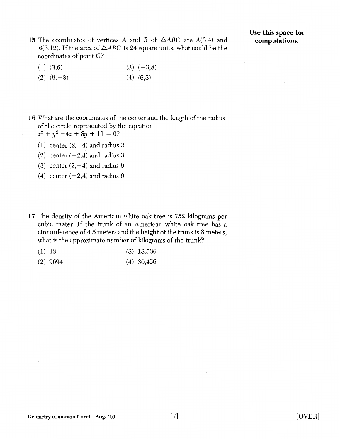**15** The coordinates of vertices A and B of  $\triangle ABC$  are  $A(3,4)$  and  $B(3,12)$ . If the area of  $\triangle ABC$  is 24 square units, what could be the coordinates of point C?

Use **this** space **for computations.** 

- (1) (3,6)  $(3) (-3,8)$
- $(2)$   $(8,-3)$ (4) (6,3)

**16** What are the coordinates of the center and the length of the radius of the circle represented by the equation

 $x^2 + y^2 - 4x + 8y + 11 = 0$ ?

- (1) center  $(2, -4)$  and radius 3
- (2) center  $(-2,4)$  and radius 3
- (3) center  $(2, -4)$  and radius 9
- (4) center  $(-2,4)$  and radius 9
- **1** 7 The density of the American white oak tree is 752 kilograms per cubic meter. If the trunk of an American white oak tree has a circumference of 4.5 meters and the height of the trunk is 8 meters, what is the approximate number of kilograms of the trunk?
	- (1) 13 (3) 13,536
	- (2) 9694 (4) 30,456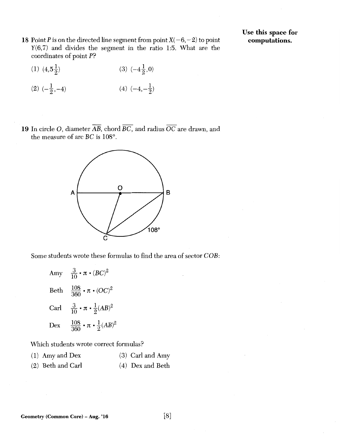18 Point P is on the directed line segment from point  $X(-6, -2)$  to point  $Y(6,7)$  and divides the segment in the ratio 1:5. What are the coordinates of point P?

Use this space for computations.

- (1)  $(4,5\frac{1}{2})$ (3)  $(-4\frac{1}{2},0)$
- (4)  $(-4,-\frac{1}{2})$ (2)  $\left(-\frac{1}{2},-4\right)$
- 19 In circle O, diameter  $\overline{AB}$ , chord  $\overline{BC}$ , and radius  $\overline{OC}$  are drawn, and the measure of arc BC is 108°.



Some students wrote these formulas to find the area of sector COB:

Amy  $\frac{3}{10} \cdot \pi \cdot (BC)^2$ Beth  $\frac{108}{360} \cdot \pi \cdot (OC)^2$ Carl  $\frac{3}{10} \cdot \pi \cdot \frac{1}{2} (AB)^2$ Dex  $\frac{108}{360} \cdot \pi \cdot \frac{1}{2} (AB)^2$ 

#### Which students wrote correct formulas?

- (1) Amy and Dex ( 3) Carl and Amy
- (2) Beth and Carl (4) Dex and Beth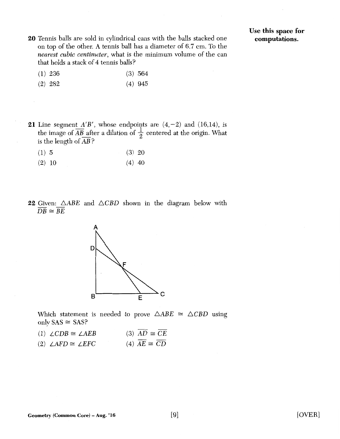20 Tennis balls are sold in cylindrical cans with the balls stacked one on top of the other. A tennis ball has a diameter of 6.7 cm. To the *nearest cubic centimeter,* what is the minimum volume of the can that holds a stack of 4 tennis balls?

### Use this space for computations.

- (1) 236 (3) 564
- (2) 282 (4) 945
- **21** Line segment  $A'B'$ , whose endpoints are  $(4,-2)$  and  $(16,14)$ , is the image of  $\overline{AB}$  after a dilation of  $\frac{1}{2}$  centered at the origin. What is the length of  $\overline{AB}$ ?
	- (1) 5 (3) 20
	- (2) 10  $(4)$  40
- 22 Given:  $\triangle ABE$  and  $\triangle CBD$  shown in the diagram below with  $\overline{DB} \cong \overline{BE}$



Which statement is needed to prove  $\triangle ABE \cong \triangle CBD$  using only  $SAS \cong SAS$ ?

| (1) $\angle CDB \cong \angle AEB$ | $(3) AD \cong CE$ |  |
|-----------------------------------|-------------------|--|
|                                   |                   |  |

(2)  $\angle AFD \cong \angle EFC$  (4)  $AE \cong CD$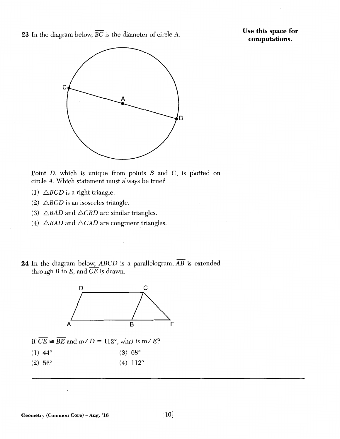**23** In the diagram below,  $\overline{BC}$  is the diameter of circle  $A$ .

Use this space for computations.



Point D, which is unique from points B and C, is plotted on circle *A.* Which statement must always be true?

- (1)  $\triangle BCD$  is a right triangle.
- (2)  $\triangle BCD$  is an isosceles triangle.
- (3)  $\triangle BAD$  and  $\triangle CBD$  are similar triangles.
- (4)  $\triangle BAD$  and  $\triangle CAD$  are congruent triangles.
- 24 In the diagram below, *ABCD* is a parallelogram, *AB* is extended through *B* to *E*, and  $\overline{CE}$  is drawn.

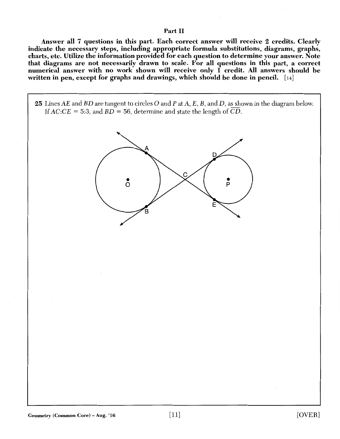#### Part II

Answer all 7 questions in this part. Each correct answer will receive 2 credits. Clearly indicate the necessary steps, including appropriate formula substitutions, diagrams, graphs, charts, etc. Utilize the information provided for each question to determine your answer. Note that diagrams are not necessarily drawn to scale. For all questions in this part, a correct numerical answer with no work shown will receive only 1 credit. All answers should be written in pen, except for graphs and drawings, which should be done in pencil.  $[14]$ 

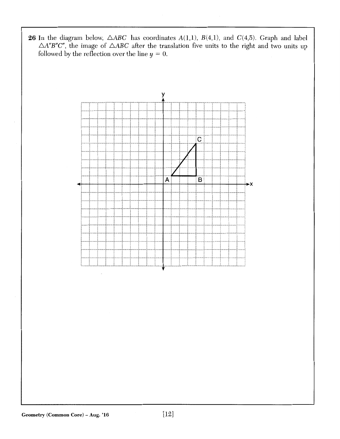26 In the diagram below,  $\triangle ABC$  has coordinates  $A(1,1)$ ,  $B(4,1)$ , and  $C(4,5)$ . Graph and label  $\triangle A''B''C''$ , the image of  $\triangle ABC$  after the translation five units to the right and two units up followed by the reflection over the line  $y = 0$ .

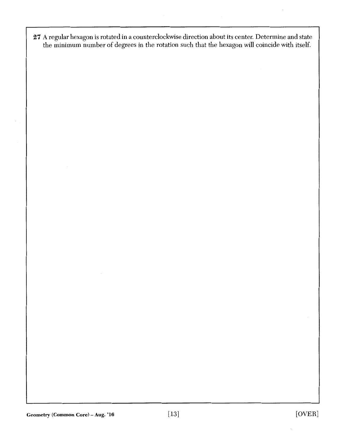${\bf 27}$  A regular hexagon is rotated in a counterclockwise direction about its center. Determine and state the minimum number of degrees in the rotation such that the hexagon will coincide with itself.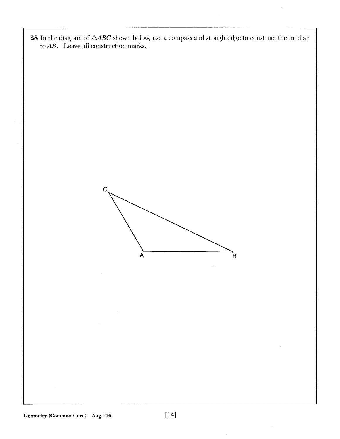

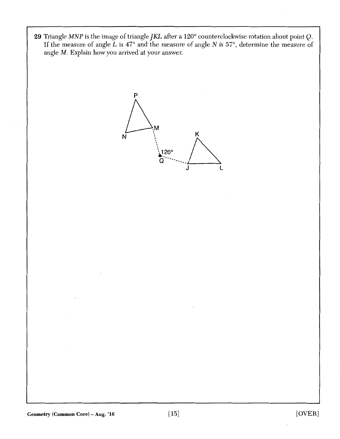29 Triangle *MNP* is the image of triangle *]KL* after a 120° counterclockwise rotation about point Q. If the measure of angle  $\tilde{L}$  is 47° and the measure of angle N is 57°, determine the measure of angle M. Explain how you arrived at your answer.

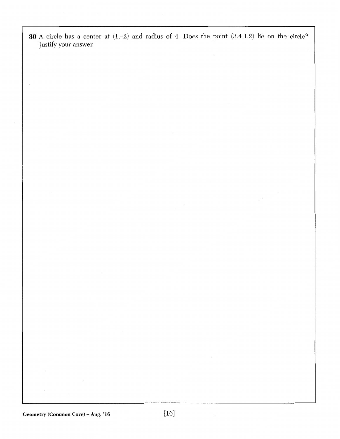30 A circle has a center at (1,-2) and radius of 4. Does the point (3.4,1.2) lie on the circle? Justify your answer.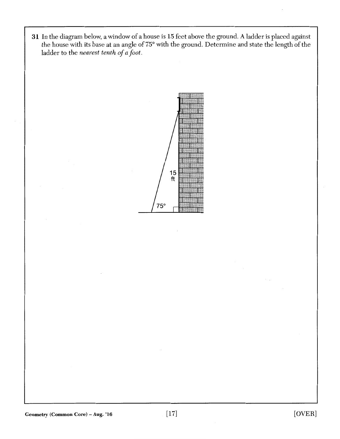31 In the diagram below, a window of a house is 15 feet above the ground. A ladder is placed against the house with its base at an angle of 75° with the ground. Determine and state the length of the ladder to the *nearest tenth of a foot.* 

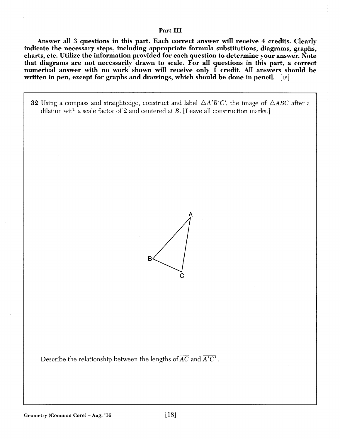#### Part III

Answer all 3 questions in this part. Each correct answer will receive 4 credits. Clearly indicate the necessary steps, including appropriate formula substitutions, diagrams, graphs, charts, etc. Utilize the information provided for each question to determine your answer. Note that diagrams are not necessarily drawn to scale. For all questions in this part, a correct numerical answer with no work shown will receive only I credit. All answers should be written in pen, except for graphs and drawings, which should be done in pencil. [12]

32 Using a compass and straightedge, construct and label  $\triangle A'B'C'$ , the image of  $\triangle ABC$  after a dilation with a scale factor of 2 and centered at B. [Leave all construction marks.]



Describe the relationship between the lengths of *AC* and *A'C'.*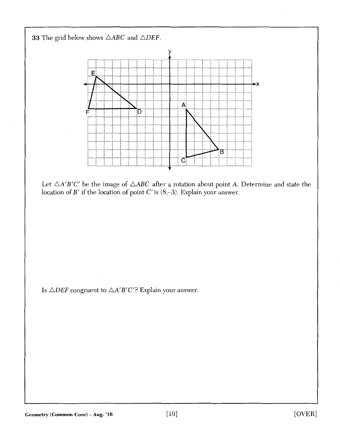



Let  $\triangle A'B'C'$  be the image of  $\triangle ABC$  after a rotation about point *A*. Determine and state the location of *B'* if the location of point *C'* is (8,-3). Explain your answer.

Is  $\triangle DEF$  congruent to  $\triangle A'B'C'$ ? Explain your answer.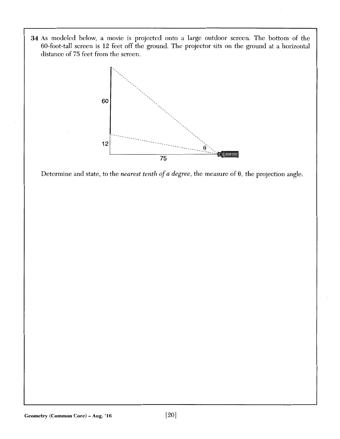34 As modeled below, a movie is projected onto a large outdoor screen. The bottom of the 60-foot-tall screen is 12 feet off the ground. The projector sits on the ground at a horizontal distance of 75 feet from the screen.



Determine and state, to the *nearest tenth of a degree*, the measure of  $\theta$ , the projection angle.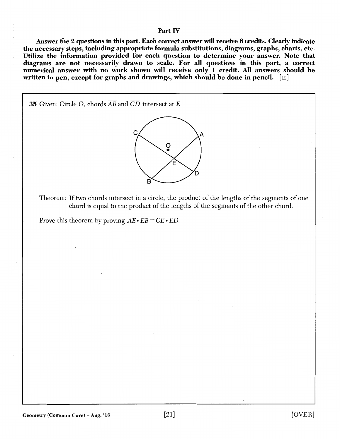#### Part IV

Answer the 2 questions in this part. Each correct answer will receive 6 credits. Clearly indicate the necessary steps, including appropriate formula substitutions, diagrams, graphs, charts, etc. Utilize the information provided for each question to determine your answer. Note that diagrams are not necessarily drawn to scale. For all questions in this part, a correct numerical answer with no work shown will receive only I credit. All answers should be written in pen, except for graphs and drawings, which should be done in pencil. [12]